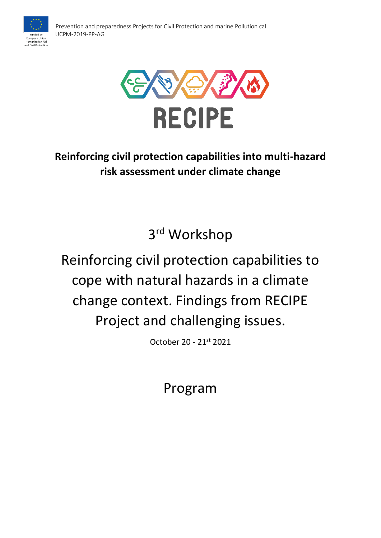



## **Reinforcing civil protection capabilities into multi-hazard risk assessment under climate change**

3 rd Workshop

# Reinforcing civil protection capabilities to cope with natural hazards in a climate change context. Findings from RECIPE Project and challenging issues.

October 20 - 21st 2021

Program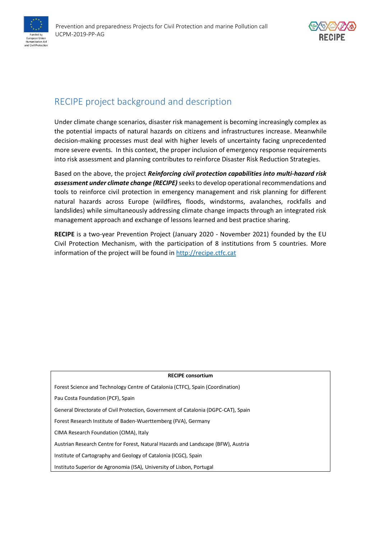



## RECIPE project background and description

Under climate change scenarios, disaster risk management is becoming increasingly complex as the potential impacts of natural hazards on citizens and infrastructures increase. Meanwhile decision-making processes must deal with higher levels of uncertainty facing unprecedented more severe events. In this context, the proper inclusion of emergency response requirements into risk assessment and planning contributes to reinforce Disaster Risk Reduction Strategies.

Based on the above, the project *Reinforcing civil protection capabilities into multi-hazard risk*  assessment under climate change *(RECIPE)* seeks to develop operational recommendations and tools to reinforce civil protection in emergency management and risk planning for different natural hazards across Europe (wildfires, floods, windstorms, avalanches, rockfalls and landslides) while simultaneously addressing climate change impacts through an integrated risk management approach and exchange of lessons learned and best practice sharing.

**RECIPE** is a two-year Prevention Project (January 2020 - November 2021) founded by the EU Civil Protection Mechanism, with the participation of 8 institutions from 5 countries. More information of the project will be found in [http://recipe.ctfc.cat](http://recipe.ctfc.cat/)

| <b>RECIPE consortium</b>                                                           |
|------------------------------------------------------------------------------------|
| Forest Science and Technology Centre of Catalonia (CTFC), Spain (Coordination)     |
| Pau Costa Foundation (PCF), Spain                                                  |
| General Directorate of Civil Protection, Government of Catalonia (DGPC-CAT), Spain |
| Forest Research Institute of Baden-Wuerttemberg (FVA), Germany                     |
| CIMA Research Foundation (CIMA), Italy                                             |
| Austrian Research Centre for Forest, Natural Hazards and Landscape (BFW), Austria  |
| Institute of Cartography and Geology of Catalonia (ICGC), Spain                    |
| Instituto Superior de Agronomia (ISA), University of Lisbon, Portugal              |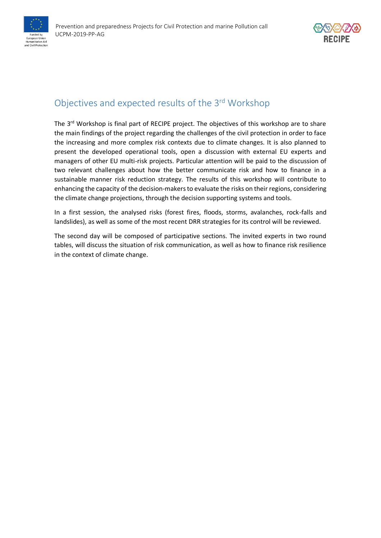

## Objectives and expected results of the 3<sup>rd</sup> Workshop

The 3<sup>rd</sup> Workshop is final part of RECIPE project. The objectives of this workshop are to share the main findings of the project regarding the challenges of the civil protection in order to face the increasing and more complex risk contexts due to climate changes. It is also planned to present the developed operational tools, open a discussion with external EU experts and managers of other EU multi-risk projects. Particular attention will be paid to the discussion of two relevant challenges about how the better communicate risk and how to finance in a sustainable manner risk reduction strategy. The results of this workshop will contribute to enhancing the capacity of the decision-makers to evaluate the risks on their regions, considering the climate change projections, through the decision supporting systems and tools.

In a first session, the analysed risks (forest fires, floods, storms, avalanches, rock-falls and landslides), as well as some of the most recent DRR strategies for its control will be reviewed.

The second day will be composed of participative sections. The invited experts in two round tables, will discuss the situation of risk communication, as well as how to finance risk resilience in the context of climate change.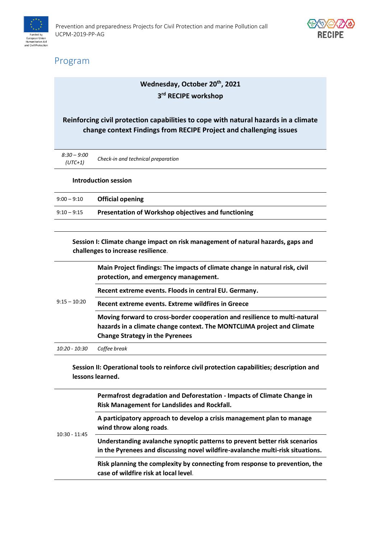



## Program

### **Wednesday, October 20th, 2021 3 rd RECIPE workshop**

#### **Reinforcing civil protection capabilities to cope with natural hazards in a climate change context Findings from RECIPE Project and challenging issues**

| 8:30 – 9:00<br>$(UTC+1)$ | Check-in and technical preparation |
|--------------------------|------------------------------------|
|                          |                                    |

#### **Introduction session**

| $9:00-9:10$   | <b>Official opening</b>                             |
|---------------|-----------------------------------------------------|
| $9:10 - 9:15$ | Presentation of Workshop objectives and functioning |

**Session I: Climate change impact on risk management of natural hazards, gaps and challenges to increase resilience**.

| $9:15 - 10:20$ | Main Project findings: The impacts of climate change in natural risk, civil<br>protection, and emergency management.                                                                           |
|----------------|------------------------------------------------------------------------------------------------------------------------------------------------------------------------------------------------|
|                | Recent extreme events. Floods in central EU. Germany.                                                                                                                                          |
|                | Recent extreme events. Extreme wildfires in Greece                                                                                                                                             |
|                | Moving forward to cross-border cooperation and resilience to multi-natural<br>hazards in a climate change context. The MONTCLIMA project and Climate<br><b>Change Strategy in the Pyrenees</b> |
| 10:20 - 10:30  | Coffee break                                                                                                                                                                                   |

**Session II: Operational tools to reinforce civil protection capabilities; description and lessons learned.**

| $10:30 - 11:45$ | Permafrost degradation and Deforestation - Impacts of Climate Change in<br><b>Risk Management for Landslides and Rockfall.</b>                               |
|-----------------|--------------------------------------------------------------------------------------------------------------------------------------------------------------|
|                 | A participatory approach to develop a crisis management plan to manage<br>wind throw along roads.                                                            |
|                 | Understanding avalanche synoptic patterns to prevent better risk scenarios<br>in the Pyrenees and discussing novel wildfire-avalanche multi-risk situations. |
|                 | Risk planning the complexity by connecting from response to prevention, the<br>case of wildfire risk at local level.                                         |